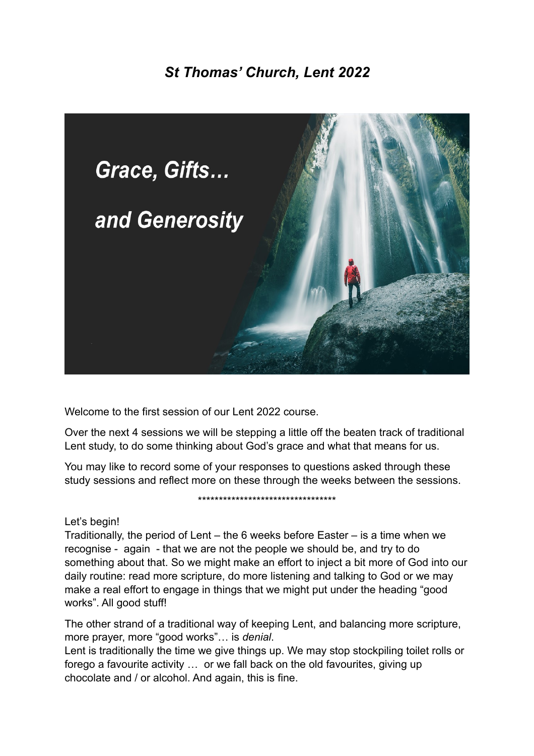# *St Thomas' Church, Lent 2022*



Welcome to the first session of our Lent 2022 course.

Over the next 4 sessions we will be stepping a little off the beaten track of traditional Lent study, to do some thinking about God's grace and what that means for us.

You may like to record some of your responses to questions asked through these study sessions and reflect more on these through the weeks between the sessions.

\*\*\*\*\*\*\*\*\*\*\*\*\*\*\*\*\*\*\*\*\*\*\*\*\*\*\*\*\*\*\*\*\*

## Let's begin!

Traditionally, the period of Lent – the 6 weeks before Easter – is a time when we recognise - again - that we are not the people we should be, and try to do something about that. So we might make an effort to inject a bit more of God into our daily routine: read more scripture, do more listening and talking to God or we may make a real effort to engage in things that we might put under the heading "good works". All good stuff!

The other strand of a traditional way of keeping Lent, and balancing more scripture, more prayer, more "good works"… is *denial*.

Lent is traditionally the time we give things up. We may stop stockpiling toilet rolls or forego a favourite activity … or we fall back on the old favourites, giving up chocolate and / or alcohol. And again, this is fine.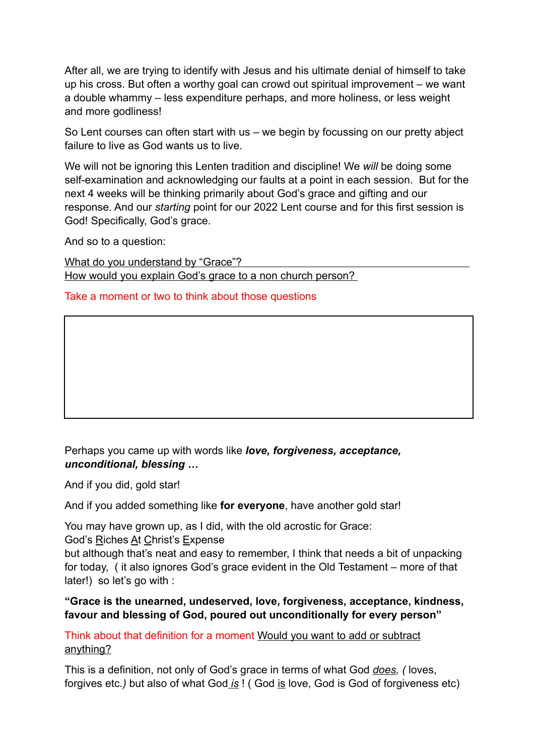After all, we are trying to identify with Jesus and his ultimate denial of himself to take up his cross. But often a worthy goal can crowd out spiritual improvement – we want a double whammy – less expenditure perhaps, and more holiness, or less weight and more godliness!

So Lent courses can often start with us – we begin by focussing on our pretty abject failure to live as God wants us to live.

We will not be ignoring this Lenten tradition and discipline! We *will* be doing some self-examination and acknowledging our faults at a point in each session. But for the next 4 weeks will be thinking primarily about God's grace and gifting and our response. And our *starting* point for our 2022 Lent course and for this first session is God! Specifically, God's grace.

And so to a question:

What do you understand by "Grace"? How would you explain God's grace to a non church person?

Take a moment or two to think about those questions

# Perhaps you came up with words like *love, forgiveness, acceptance, unconditional, blessing …*

And if you did, gold star!

And if you added something like **for everyone**, have another gold star!

You may have grown up, as I did, with the old acrostic for Grace:

God's Riches At Christ's Expense

but although that's neat and easy to remember, I think that needs a bit of unpacking for today, ( it also ignores God's grace evident in the Old Testament – more of that later!) so let's go with :

## **"Grace is the unearned, undeserved, love, forgiveness, acceptance, kindness, favour and blessing of God, poured out unconditionally for every person"**

Think about that definition for a moment Would you want to add or subtract anything?

This is a definition, not only of God's grace in terms of what God *does, (* loves, forgives etc*.)* but also of what God *is* ! ( God is love, God is God of forgiveness etc)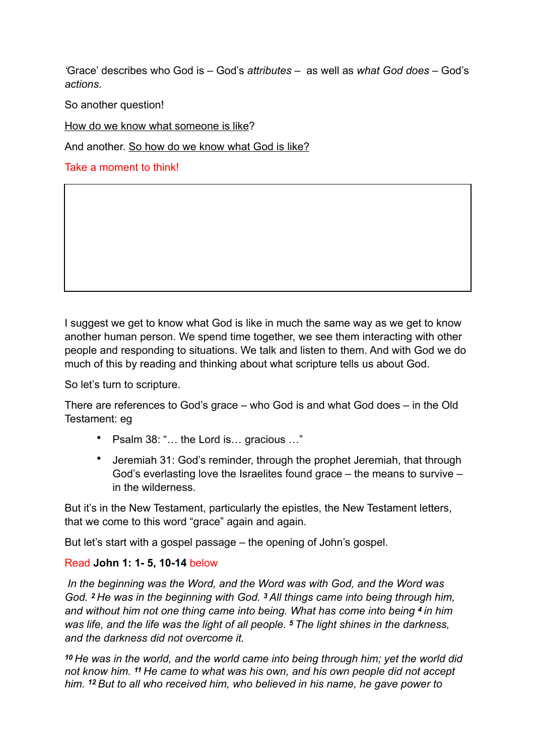*'*Grace' describes who God is – God's *attributes* –as well as *what God does –* God's *actions.*

So another question!

How do we know what someone is like?

And another. So how do we know what God is like?

Take a moment to think!

I suggest we get to know what God is like in much the same way as we get to know another human person. We spend time together, we see them interacting with other people and responding to situations. We talk and listen to them. And with God we do much of this by reading and thinking about what scripture tells us about God.

So let's turn to scripture.

There are references to God's grace – who God is and what God does – in the Old Testament: eg

- Psalm 38: "… the Lord is… gracious …"
- Jeremiah 31: God's reminder, through the prophet Jeremiah, that through God's everlasting love the Israelites found grace *–* the means to survive *–*  in the wilderness.

But it's in the New Testament, particularly the epistles, the New Testament letters, that we come to this word "grace" again and again.

But let's start with a gospel passage – the opening of John's gospel.

# Read **John 1: 1- 5, 10-14** below

*In the beginning was the Word, and the Word was with God, and the Word was God. 2 He was in the beginning with God. 3 All things came into being through him, and without him not one thing came into being. What has come into being 4 in him was life, and the life was the light of all people. 5 The light shines in the darkness, and the darkness did not overcome it.*

*<sup>10</sup>He was in the world, and the world came into being through him; yet the world did not know him. 11 He came to what was his own, and his own people did not accept him. 12 But to all who received him, who believed in his name, he gave power to*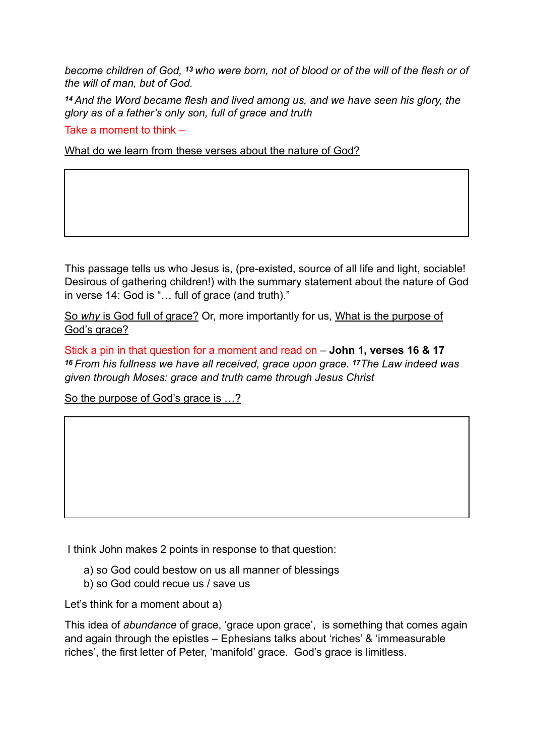*become children of God, 13 who were born, not of blood or of the will of the flesh or of the will of man, but of God.*

*<sup>14</sup>And the Word became flesh and lived among us, and we have seen his glory, the glory as of a father's only son, full of grace and truth*

Take a moment to think –

What do we learn from these verses about the nature of God?

This passage tells us who Jesus is, (pre-existed, source of all life and light, sociable! Desirous of gathering children!) with the summary statement about the nature of God in verse 14: God is "… full of grace (and truth)."

So *why* is God full of grace? Or, more importantly for us, What is the purpose of God's grace?

Stick a pin in that question for a moment and read on – **John 1, verses 16 & 17** *<sup>16</sup>From his fullness we have all received, grace upon grace. 17The Law indeed was given through Moses: grace and truth came through Jesus Christ*

So the purpose of God's grace is …?

I think John makes 2 points in response to that question:

- a) so God could bestow on us all manner of blessings
- b) so God could recue us / save us

Let's think for a moment about a)

This idea of *abundance* of grace, 'grace upon grace', is something that comes again and again through the epistles – Ephesians talks about 'riches' & 'immeasurable riches', the first letter of Peter, 'manifold' grace. God's grace is limitless.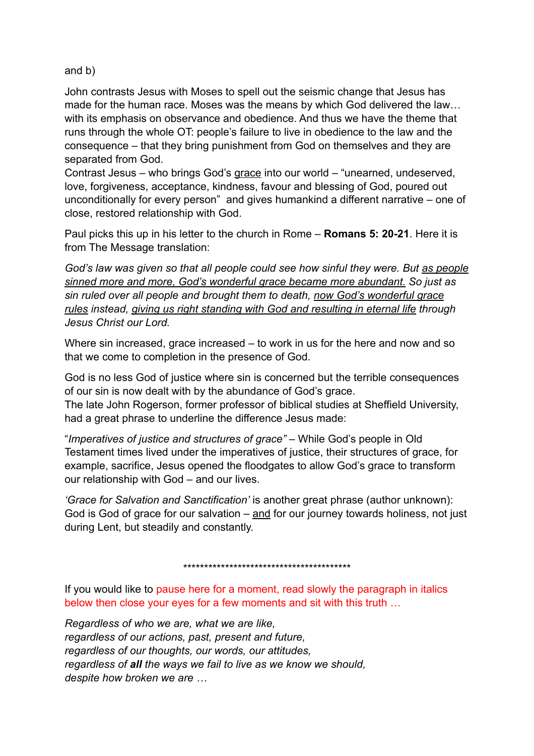and b)

John contrasts Jesus with Moses to spell out the seismic change that Jesus has made for the human race. Moses was the means by which God delivered the law… with its emphasis on observance and obedience. And thus we have the theme that runs through the whole OT: people's failure to live in obedience to the law and the consequence – that they bring punishment from God on themselves and they are separated from God.

Contrast Jesus – who brings God's grace into our world – "unearned, undeserved, love, forgiveness, acceptance, kindness, favour and blessing of God, poured out unconditionally for every person" and gives humankind a different narrative – one of close, restored relationship with God.

Paul picks this up in his letter to the church in Rome – **Romans 5: 20-21**. Here it is from The Message translation:

*God's law was given so that all people could see how sinful they were. But as people sinned more and more, God's wonderful grace became more abundant. So just as sin ruled over all people and brought them to death, now God's wonderful grace rules instead, giving us right standing with God and resulting in eternal life through Jesus Christ our Lord.*

Where sin increased, grace increased – to work in us for the here and now and so that we come to completion in the presence of God.

God is no less God of justice where sin is concerned but the terrible consequences of our sin is now dealt with by the abundance of God's grace.

The late John Rogerson, former professor of biblical studies at Sheffield University, had a great phrase to underline the difference Jesus made:

"*Imperatives of justice and structures of grace"* – While God's people in Old Testament times lived under the imperatives of justice, their structures of grace, for example, sacrifice, Jesus opened the floodgates to allow God's grace to transform our relationship with God – and our lives.

*'Grace for Salvation and Sanctification'* is another great phrase (author unknown): God is God of grace for our salvation  $-$  and for our journey towards holiness, not just during Lent, but steadily and constantly.

\*\*\*\*\*\*\*\*\*\*\*\*\*\*\*\*\*\*\*\*\*\*\*\*\*\*\*\*\*\*\*\*\*\*\*\*\*\*\*\*

If you would like to pause here for a moment, read slowly the paragraph in italics below then close your eyes for a few moments and sit with this truth …

*Regardless of who we are, what we are like, regardless of our actions, past, present and future, regardless of our thoughts, our words, our attitudes, regardless of all the ways we fail to live as we know we should, despite how broken we are …*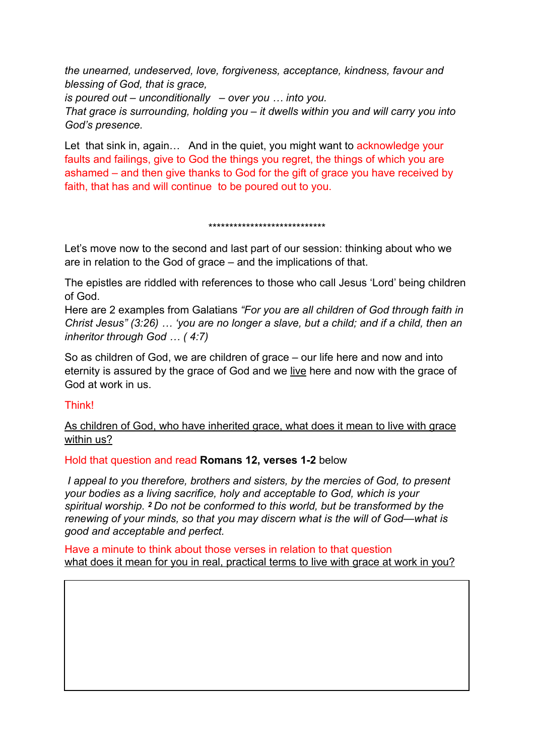*the unearned, undeserved, love, forgiveness, acceptance, kindness, favour and blessing of God, that is grace,* 

*is poured out – unconditionally – over you … into you.* 

*That grace is surrounding, holding you – it dwells within you and will carry you into God's presence.* 

Let that sink in, again... And in the quiet, you might want to acknowledge your faults and failings, give to God the things you regret, the things of which you are ashamed – and then give thanks to God for the gift of grace you have received by faith, that has and will continue to be poured out to you.

\*\*\*\*\*\*\*\*\*\*\*\*\*\*\*\*\*\*\*\*\*\*\*\*\*\*\*\*

Let's move now to the second and last part of our session: thinking about who we are in relation to the God of grace – and the implications of that.

The epistles are riddled with references to those who call Jesus 'Lord' being children of God.

Here are 2 examples from Galatians *"For you are all children of God through faith in Christ Jesus" (3:26) … 'you are no longer a slave, but a child; and if a child, then an inheritor through God … ( 4:7)*

So as children of God, we are children of grace – our life here and now and into eternity is assured by the grace of God and we live here and now with the grace of God at work in us.

## Think!

As children of God, who have inherited grace, what does it mean to live with grace within us?

Hold that question and read **Romans 12, verses 1-2** below

*I appeal to you therefore, brothers and sisters, by the mercies of God, to present your bodies as a living sacrifice, holy and acceptable to God, which is your spiritual worship. 2 Do not be conformed to this world, but be transformed by the renewing of your minds, so that you may discern what is the will of God—what is good and acceptable and perfect.*

Have a minute to think about those verses in relation to that question what does it mean for you in real, practical terms to live with grace at work in you?